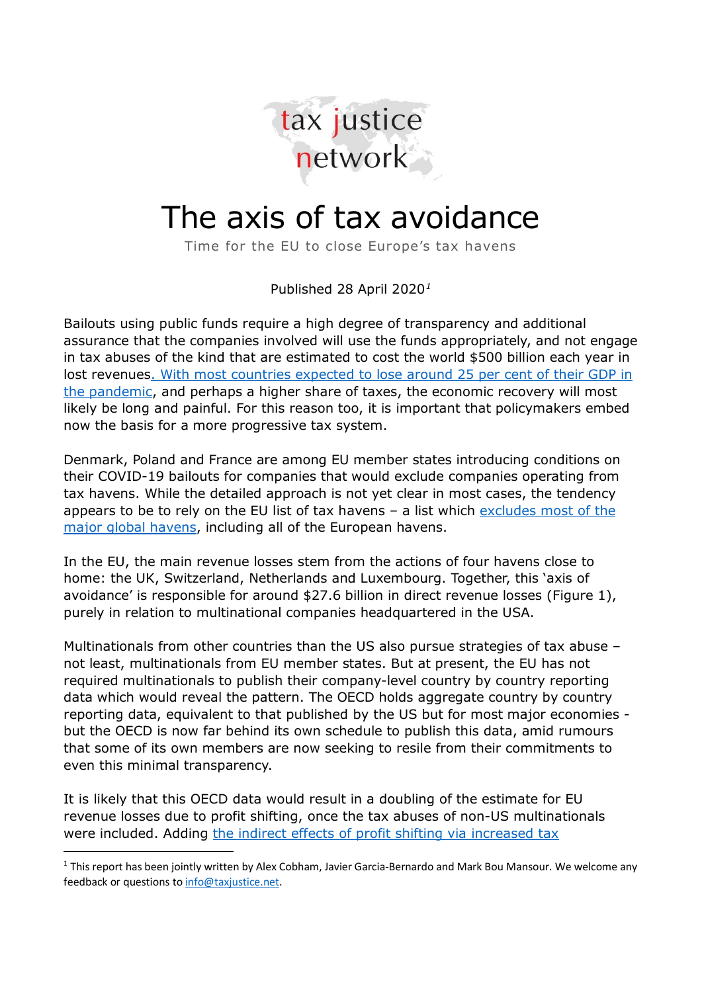

# The axis of tax avoidance

Time for the EU to close Europe's tax havens

Published 28 April 2020*[1](#page-0-0)*

Bailouts using public funds require a high degree of transparency and additional assurance that the companies involved will use the funds appropriately, and not engage in tax abuses of the kind that are estimated to cost the world \$500 billion each year in lost revenue[s. With most countries expected to lose](https://read.oecd-ilibrary.org/view/?ref=126_126496-evgsi2gmqj&title=Evaluating_the_initial_impact_of_COVID-19_containment_measures_on_economic_activity) around 25 per cent of their GDP in [the pandemic,](https://read.oecd-ilibrary.org/view/?ref=126_126496-evgsi2gmqj&title=Evaluating_the_initial_impact_of_COVID-19_containment_measures_on_economic_activity) and perhaps a higher share of taxes, the economic recovery will most likely be long and painful. For this reason too, it is important that policymakers embed now the basis for a more progressive tax system.

Denmark, Poland and France are among EU member states introducing conditions on their COVID-19 bailouts for companies that would exclude companies operating from tax havens. While the detailed approach is not yet clear in most cases, the tendency appears to be to rely on the EU list of tax havens – a list which [excludes most of the](https://www.taxjustice.net/2020/02/18/eu-blacklists-uks-crown-jewel-tax-haven-while-letting-other-tax-havens-off-the-hook/)  [major global havens,](https://www.taxjustice.net/2020/02/18/eu-blacklists-uks-crown-jewel-tax-haven-while-letting-other-tax-havens-off-the-hook/) including all of the European havens.

In the EU, the main revenue losses stem from the actions of four havens close to home: the UK, Switzerland, Netherlands and Luxembourg. Together, this 'axis of avoidance' is responsible for around \$27.6 billion in direct revenue losses (Figure 1), purely in relation to multinational companies headquartered in the USA.

Multinationals from other countries than the US also pursue strategies of tax abuse – not least, multinationals from EU member states. But at present, the EU has not required multinationals to publish their company-level country by country reporting data which would reveal the pattern. The OECD holds aggregate country by country reporting data, equivalent to that published by the US but for most major economies but the OECD is now far behind its own schedule to publish this data, amid rumours that some of its own members are now seeking to resile from their commitments to even this minimal transparency.

It is likely that this OECD data would result in a doubling of the estimate for EU revenue losses due to profit shifting, once the tax abuses of non-US multinationals were included. Adding the indirect effects of profit shifting via increased tax

-

<span id="page-0-0"></span> $1$  This report has been jointly written by Alex Cobham, Javier Garcia-Bernardo and Mark Bou Mansour. We welcome any feedback or questions t[o info@taxjustice.net.](mailto:info@taxjustice.net)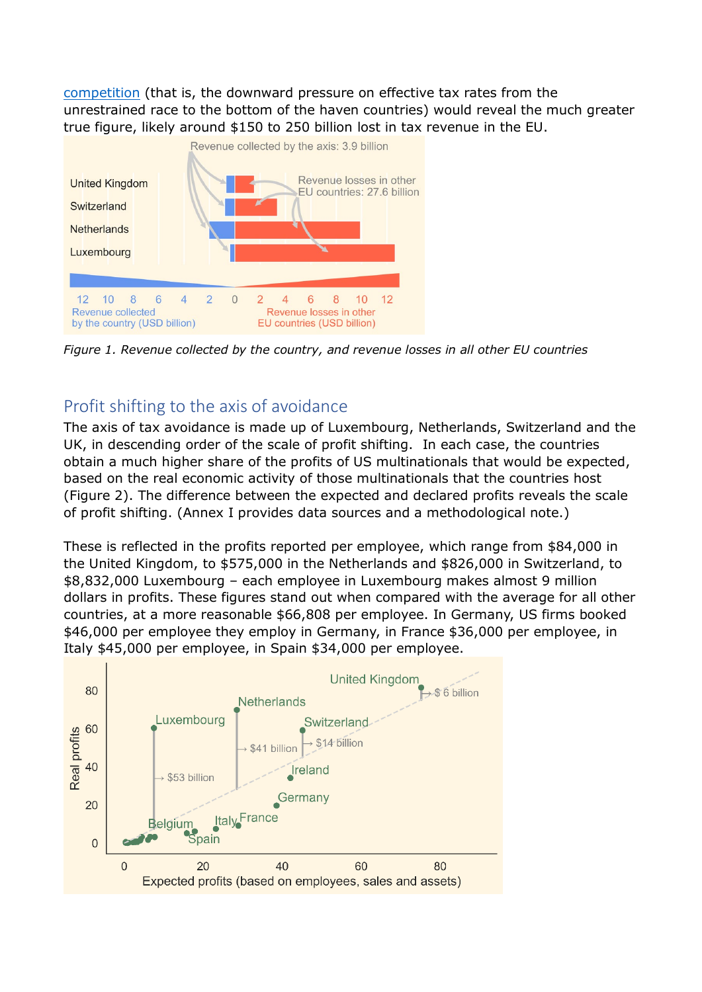[competition](https://www.imf.org/external/np/pp/eng/2014/050914.pdf) (that is, the downward pressure on effective tax rates from the unrestrained race to the bottom of the haven countries) would reveal the much greater true figure, likely around \$150 to 250 billion lost in tax revenue in the EU.



*Figure 1. Revenue collected by the country, and revenue losses in all other EU countries*

# Profit shifting to the axis of avoidance

The axis of tax avoidance is made up of Luxembourg, Netherlands, Switzerland and the UK, in descending order of the scale of profit shifting. In each case, the countries obtain a much higher share of the profits of US multinationals that would be expected, based on the real economic activity of those multinationals that the countries host (Figure 2). The difference between the expected and declared profits reveals the scale of profit shifting. (Annex I provides data sources and a methodological note.)

These is reflected in the profits reported per employee, which range from \$84,000 in the United Kingdom, to \$575,000 in the Netherlands and \$826,000 in Switzerland, to \$8,832,000 Luxembourg – each employee in Luxembourg makes almost 9 million dollars in profits. These figures stand out when compared with the average for all other countries, at a more reasonable \$66,808 per employee. In Germany, US firms booked \$46,000 per employee they employ in Germany, in France \$36,000 per employee, in Italy \$45,000 per employee, in Spain \$34,000 per employee.

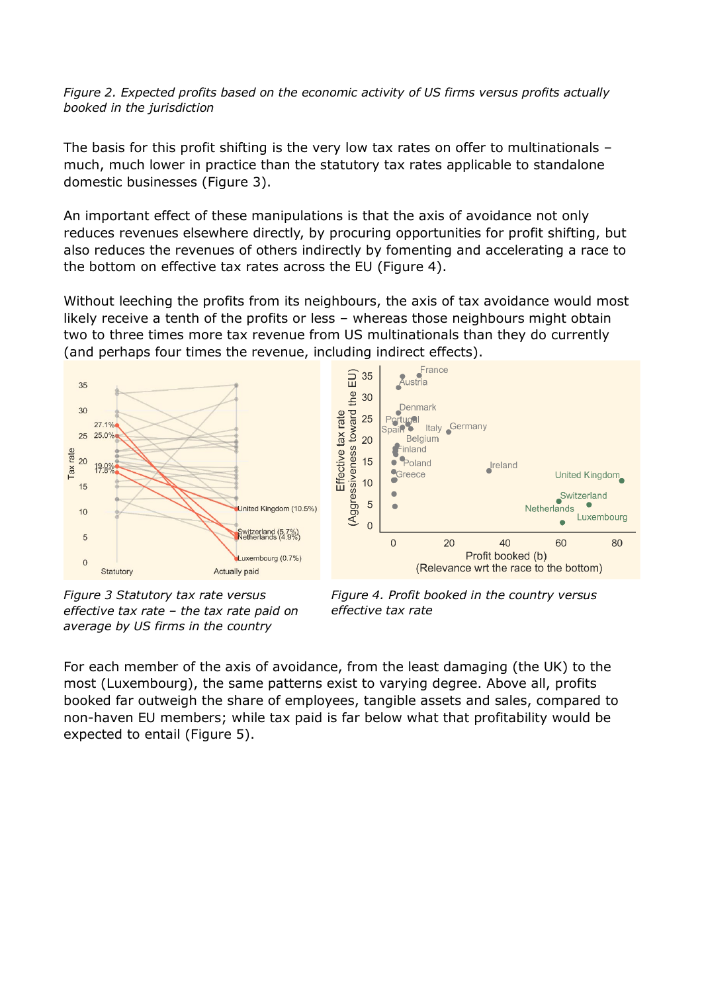*Figure 2. Expected profits based on the economic activity of US firms versus profits actually booked in the jurisdiction*

The basis for this profit shifting is the very low tax rates on offer to multinationals – much, much lower in practice than the statutory tax rates applicable to standalone domestic businesses (Figure 3).

An important effect of these manipulations is that the axis of avoidance not only reduces revenues elsewhere directly, by procuring opportunities for profit shifting, but also reduces the revenues of others indirectly by fomenting and accelerating a race to the bottom on effective tax rates across the EU (Figure 4).

Without leeching the profits from its neighbours, the axis of tax avoidance would most likely receive a tenth of the profits or less – whereas those neighbours might obtain two to three times more tax revenue from US multinationals than they do currently (and perhaps four times the revenue, including indirect effects).



*Figure 3 Statutory tax rate versus effective tax rate – the tax rate paid on average by US firms in the country*

*Figure 4. Profit booked in the country versus effective tax rate*

For each member of the axis of avoidance, from the least damaging (the UK) to the most (Luxembourg), the same patterns exist to varying degree. Above all, profits booked far outweigh the share of employees, tangible assets and sales, compared to non-haven EU members; while tax paid is far below what that profitability would be expected to entail (Figure 5).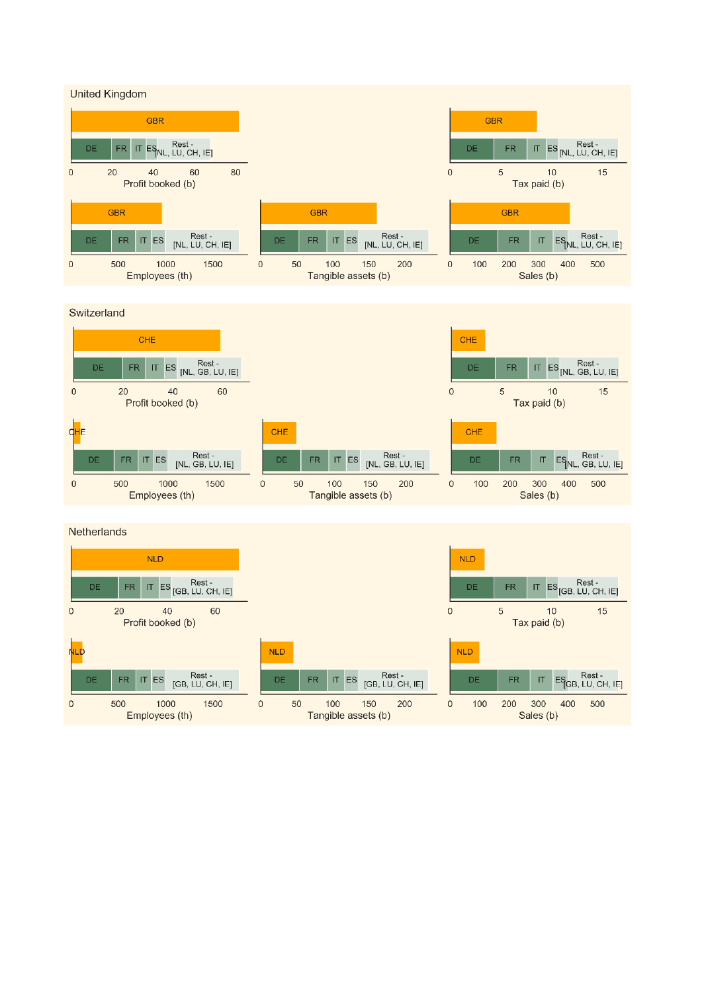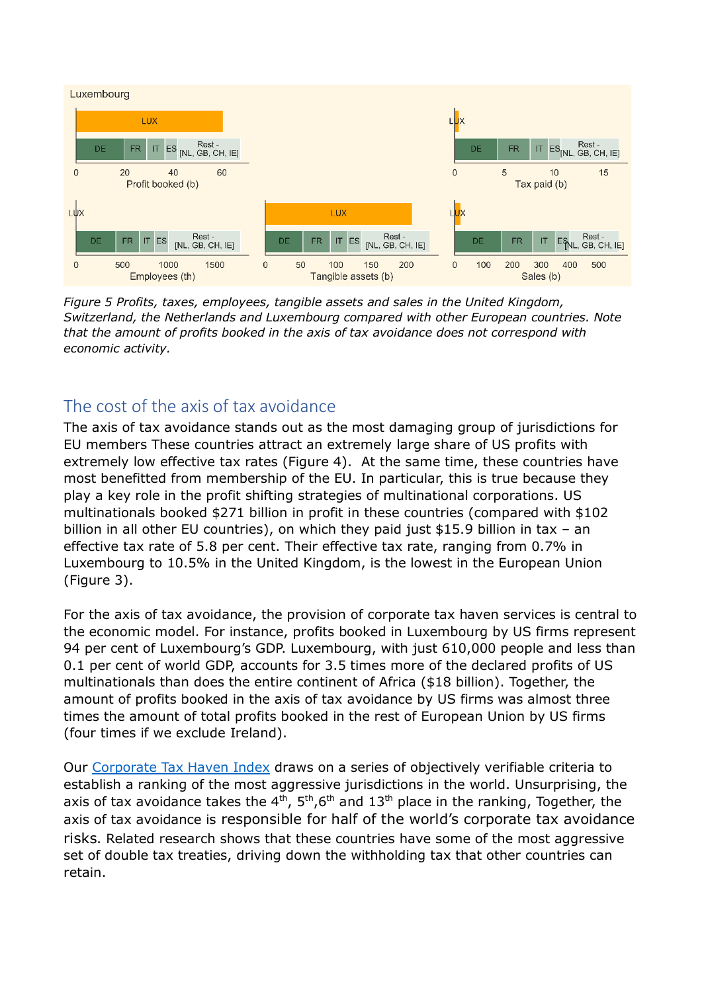

*Figure 5 Profits, taxes, employees, tangible assets and sales in the United Kingdom, Switzerland, the Netherlands and Luxembourg compared with other European countries. Note that the amount of profits booked in the axis of tax avoidance does not correspond with economic activity.*

# The cost of the axis of tax avoidance

The axis of tax avoidance stands out as the most damaging group of jurisdictions for EU members These countries attract an extremely large share of US profits with extremely low effective tax rates (Figure 4). At the same time, these countries have most benefitted from membership of the EU. In particular, this is true because they play a key role in the profit shifting strategies of multinational corporations. US multinationals booked \$271 billion in profit in these countries (compared with \$102 billion in all other EU countries), on which they paid just \$15.9 billion in tax - an effective tax rate of 5.8 per cent. Their effective tax rate, ranging from 0.7% in Luxembourg to 10.5% in the United Kingdom, is the lowest in the European Union (Figure 3).

For the axis of tax avoidance, the provision of corporate tax haven services is central to the economic model. For instance, profits booked in Luxembourg by US firms represent 94 per cent of Luxembourg's GDP. Luxembourg, with just 610,000 people and less than 0.1 per cent of world GDP, accounts for 3.5 times more of the declared profits of US multinationals than does the entire continent of Africa (\$18 billion). Together, the amount of profits booked in the axis of tax avoidance by US firms was almost three times the amount of total profits booked in the rest of European Union by US firms (four times if we exclude Ireland).

Our [Corporate Tax Haven Index](https://corporatetaxhavenindex.org/introduction/cthi-2019-results) draws on a series of objectively verifiable criteria to establish a ranking of the most aggressive jurisdictions in the world. Unsurprising, the axis of tax avoidance takes the  $4<sup>th</sup>$ ,  $5<sup>th</sup>$ ,  $6<sup>th</sup>$  and  $13<sup>th</sup>$  place in the ranking, Together, the axis of tax avoidance is responsible for half of the world's corporate tax avoidance risks. Related research shows that these countries have some of the most aggressive set of double tax treaties, driving down the withholding tax that other countries can retain.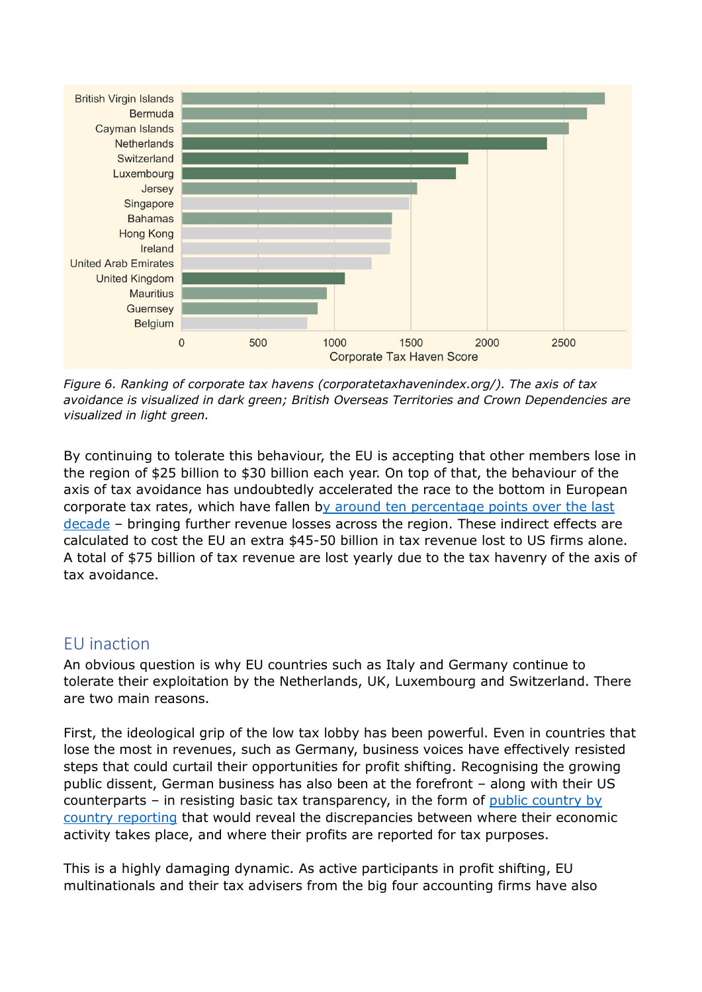

*Figure 6. Ranking of corporate tax havens (corporatetaxhavenindex.org/). The axis of tax avoidance is visualized in dark green; British Overseas Territories and Crown Dependencies are visualized in light green.*

By continuing to tolerate this behaviour, the EU is accepting that other members lose in the region of \$25 billion to \$30 billion each year. On top of that, the behaviour of the axis of tax avoidance has undoubtedly accelerated the race to the bottom in European corporate tax rates, which have fallen [by around ten percentage points over the last](http://ies.fsv.cuni.cz/sci/publication/show/id/6198/lang/cs)  [decade](http://ies.fsv.cuni.cz/sci/publication/show/id/6198/lang/cs) – bringing further revenue losses across the region. These indirect effects are calculated to cost the EU an extra \$45-50 billion in tax revenue lost to US firms alone. A total of \$75 billion of tax revenue are lost yearly due to the tax havenry of the axis of tax avoidance.

### EU inaction

An obvious question is why EU countries such as Italy and Germany continue to tolerate their exploitation by the Netherlands, UK, Luxembourg and Switzerland. There are two main reasons.

First, the ideological grip of the low tax lobby has been powerful. Even in countries that lose the most in revenues, such as Germany, business voices have effectively resisted steps that could curtail their opportunities for profit shifting. Recognising the growing public dissent, German business has also been at the forefront – along with their US counterparts – in resisting basic tax transparency, in the form of [public country by](https://www.taxjustice.net/2020/03/19/investors-demand-oecd-tax-transparency/)  [country reporting](https://www.taxjustice.net/2020/03/19/investors-demand-oecd-tax-transparency/) that would reveal the discrepancies between where their economic activity takes place, and where their profits are reported for tax purposes.

This is a highly damaging dynamic. As active participants in profit shifting, EU multinationals and their tax advisers from the big four accounting firms have also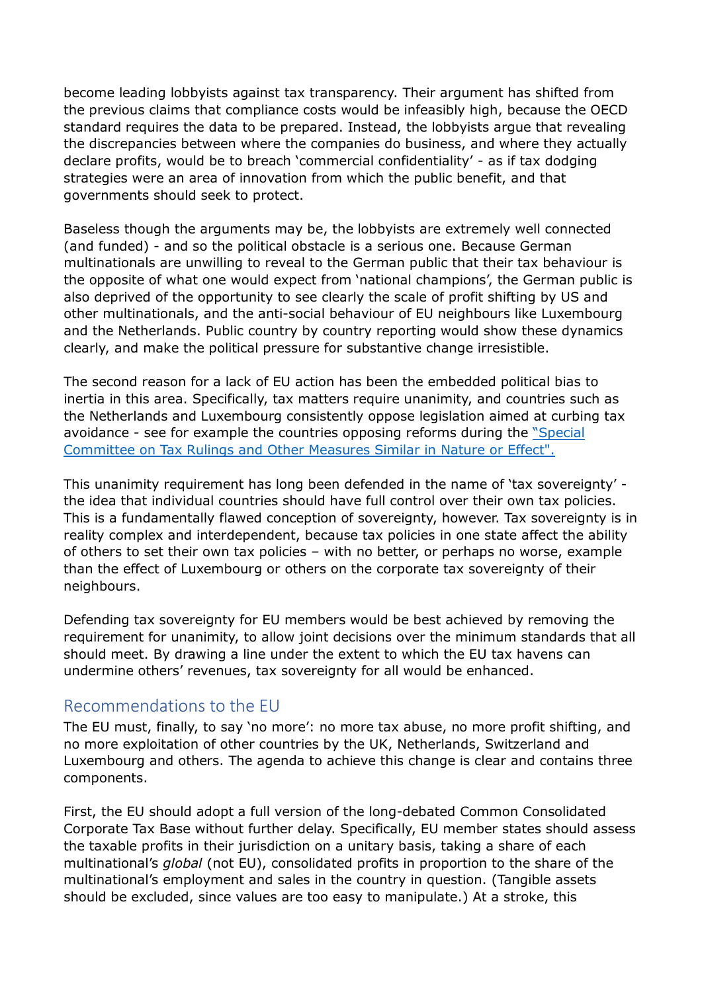become leading lobbyists against tax transparency. Their argument has shifted from the previous claims that compliance costs would be infeasibly high, because the OECD standard requires the data to be prepared. Instead, the lobbyists argue that revealing the discrepancies between where the companies do business, and where they actually declare profits, would be to breach 'commercial confidentiality' - as if tax dodging strategies were an area of innovation from which the public benefit, and that governments should seek to protect.

Baseless though the arguments may be, the lobbyists are extremely well connected (and funded) - and so the political obstacle is a serious one. Because German multinationals are unwilling to reveal to the German public that their tax behaviour is the opposite of what one would expect from 'national champions', the German public is also deprived of the opportunity to see clearly the scale of profit shifting by US and other multinationals, and the anti-social behaviour of EU neighbours like Luxembourg and the Netherlands. Public country by country reporting would show these dynamics clearly, and make the political pressure for substantive change irresistible.

The second reason for a lack of EU action has been the embedded political bias to inertia in this area. Specifically, tax matters require unanimity, and countries such as the Netherlands and Luxembourg consistently oppose legislation aimed at curbing tax avoidance - see for example the countries opposing reforms during the ["Special](https://www.europarl.europa.eu/doceo/document/A-8-2016-0223_EN.html)  [Committee on Tax Rulings and Other Measures Similar in Nature or Effect".](https://www.europarl.europa.eu/doceo/document/A-8-2016-0223_EN.html)

This unanimity requirement has long been defended in the name of 'tax sovereignty' the idea that individual countries should have full control over their own tax policies. This is a fundamentally flawed conception of sovereignty, however. Tax sovereignty is in reality complex and interdependent, because tax policies in one state affect the ability of others to set their own tax policies – with no better, or perhaps no worse, example than the effect of Luxembourg or others on the corporate tax sovereignty of their neighbours.

Defending tax sovereignty for EU members would be best achieved by removing the requirement for unanimity, to allow joint decisions over the minimum standards that all should meet. By drawing a line under the extent to which the EU tax havens can undermine others' revenues, tax sovereignty for all would be enhanced.

### Recommendations to the EU

The EU must, finally, to say 'no more': no more tax abuse, no more profit shifting, and no more exploitation of other countries by the UK, Netherlands, Switzerland and Luxembourg and others. The agenda to achieve this change is clear and contains three components.

First, the EU should adopt a full version of the long-debated Common Consolidated Corporate Tax Base without further delay. Specifically, EU member states should assess the taxable profits in their jurisdiction on a unitary basis, taking a share of each multinational's *global* (not EU), consolidated profits in proportion to the share of the multinational's employment and sales in the country in question. (Tangible assets should be excluded, since values are too easy to manipulate.) At a stroke, this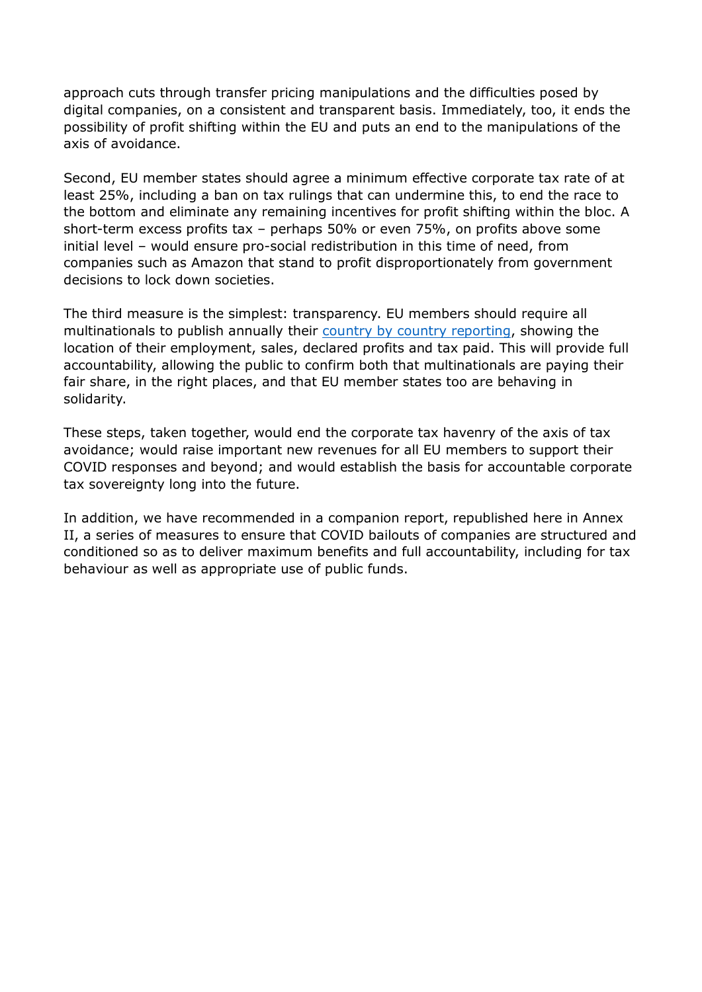approach cuts through transfer pricing manipulations and the difficulties posed by digital companies, on a consistent and transparent basis. Immediately, too, it ends the possibility of profit shifting within the EU and puts an end to the manipulations of the axis of avoidance.

Second, EU member states should agree a minimum effective corporate tax rate of at least 25%, including a ban on tax rulings that can undermine this, to end the race to the bottom and eliminate any remaining incentives for profit shifting within the bloc. A short-term excess profits tax – perhaps 50% or even 75%, on profits above some initial level – would ensure pro-social redistribution in this time of need, from companies such as Amazon that stand to profit disproportionately from government decisions to lock down societies.

The third measure is the simplest: transparency. EU members should require all multinationals to publish annually their [country by country reporting,](https://www.taxjustice.net/2020/03/19/investors-demand-oecd-tax-transparency/) showing the location of their employment, sales, declared profits and tax paid. This will provide full accountability, allowing the public to confirm both that multinationals are paying their fair share, in the right places, and that EU member states too are behaving in solidarity.

These steps, taken together, would end the corporate tax havenry of the axis of tax avoidance; would raise important new revenues for all EU members to support their COVID responses and beyond; and would establish the basis for accountable corporate tax sovereignty long into the future.

In addition, we have recommended in a companion report, republished here in Annex II, a series of measures to ensure that COVID bailouts of companies are structured and conditioned so as to deliver maximum benefits and full accountability, including for tax behaviour as well as appropriate use of public funds.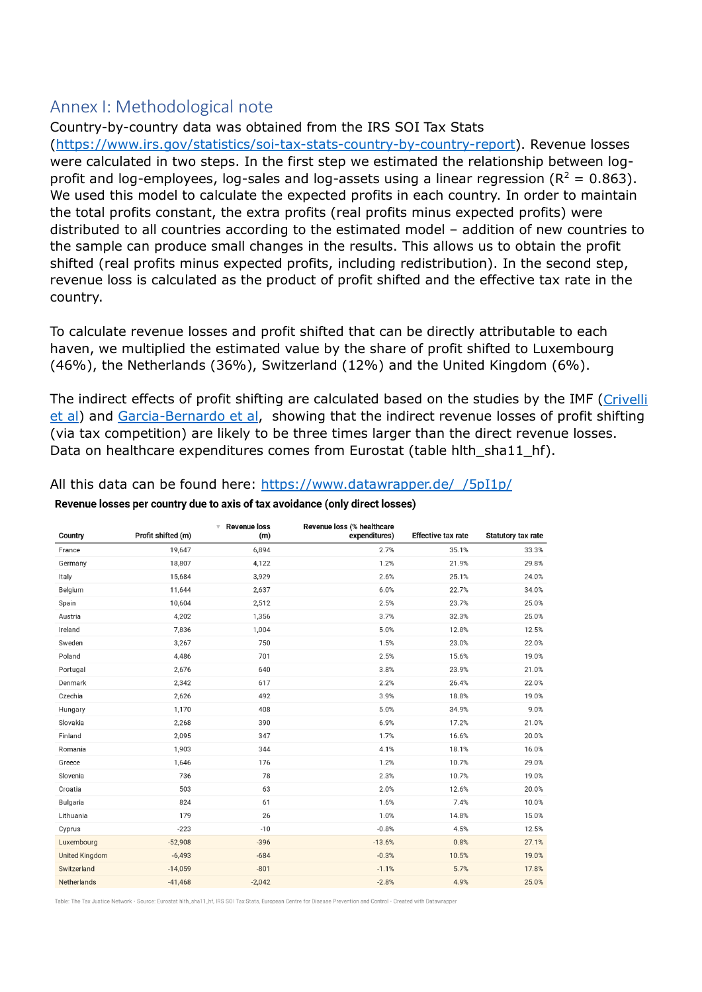### Annex I: Methodological note

Country-by-country data was obtained from the IRS SOI Tax Stats [\(https://www.irs.gov/statistics/soi-tax-stats-country-by-country-report\)](https://www.irs.gov/statistics/soi-tax-stats-country-by-country-report). Revenue losses were calculated in two steps. In the first step we estimated the relationship between log-

profit and log-employees, log-sales and log-assets using a linear regression ( $R^2 = 0.863$ ). We used this model to calculate the expected profits in each country. In order to maintain the total profits constant, the extra profits (real profits minus expected profits) were distributed to all countries according to the estimated model – addition of new countries to the sample can produce small changes in the results. This allows us to obtain the profit shifted (real profits minus expected profits, including redistribution). In the second step, revenue loss is calculated as the product of profit shifted and the effective tax rate in the country.

To calculate revenue losses and profit shifted that can be directly attributable to each haven, we multiplied the estimated value by the share of profit shifted to Luxembourg (46%), the Netherlands (36%), Switzerland (12%) and the United Kingdom (6%).

The indirect effects of profit shifting are calculated based on the studies by the IMF [\(Crivelli](https://www.imf.org/en/Publications/WP/Issues/2016/12/31/Base-Erosion-Profit-Shifting-and-Developing-Countries-42973)  [et al\)](https://www.imf.org/en/Publications/WP/Issues/2016/12/31/Base-Erosion-Profit-Shifting-and-Developing-Countries-42973) and [Garcia-Bernardo et al,](http://ies.fsv.cuni.cz/sci/publication/show/id/6198/lang/cs) showing that the indirect revenue losses of profit shifting (via tax competition) are likely to be three times larger than the direct revenue losses. Data on healthcare expenditures comes from Eurostat (table hith sha11 hf).

### **Revenue loss** Revenue loss (% healthcare Profit shifted (m) Country expenditures) **Effective tax rate** Statutory tax rate  $(m)$ 6,894 33.3% France 19,647 2.7% 35.1% Germany 18,807 4.122  $1.2%$ 21.9% 29.8% Italy 15.684 3.929 2.6% 25.1% 24.0% Belgium 11.644 2.637  $6.0%$ 22.7% 34.0% Spain 10.604 2512 2.5% 23.7% 25.0% Austria 4 2 0 2 1.356 3.7% 32.3% 25.0% Ireland 7836 1.004 5.0% 12.8% 12.5% Sweden 3.267 750 1.5% 23.0% 22.0% Poland 4.486 701  $2.5%$ 15.6% 19.0% Portuga 2.676 640 3.8% 23.9% 21.0% Denmark 2342 617  $2.2%$ 26.4% 22.0% Czechia 2.626 492 3.9% 18.8% 19.0% Hungary 1,170 408 5.0% 34.9% 9.0% Slovakia 2.268 390 6.9% 17.2% 21.0% Finland 2.095 347 1.7% 16.6% 20.0% Romania 1,903 344 4.1% 18.1% 16.0% 1,646 Greece 176 1.2% 10.7% 29.0% Slovenia 736 78 2.3% 10.7% 19.0%  $2.0%$ 20.0% Croatia 503 63 12.6% 7.4% Bulgaria 824 61 1.6% 10.0%  $1.0%$ Lithuania 179 26 14.8% 15.0% Cyprus  $-223$  $-10$  $-0.8%$ 4.5% 12.5% Luxembourg  $-52,908$  $-396$  $-13.6%$  $0.8%$  $27.1%$ 10.5% **United Kingdom**  $-6,493$  $-684$  $-0.3%$ 19.0%  $5.7%$ Switzerland  $-14,059$  $-801$  $-1.1%$ 17.8% Netherlands  $-41,468$  $-2,042$  $-2.8%$ 4.9% 25.0%

Revenue losses per country due to axis of tax avoidance (only direct losses)

All this data can be found here: [https://www.datawrapper.de/\\_/5pI1p/](https://www.datawrapper.de/_/5pI1p/)

Table: The Tax Justice Network · Source: Eurostat hith\_sha11\_hf, IRS SOI Tax Stats, European Centre for Disease Prevention and Control · Created with Datawrappe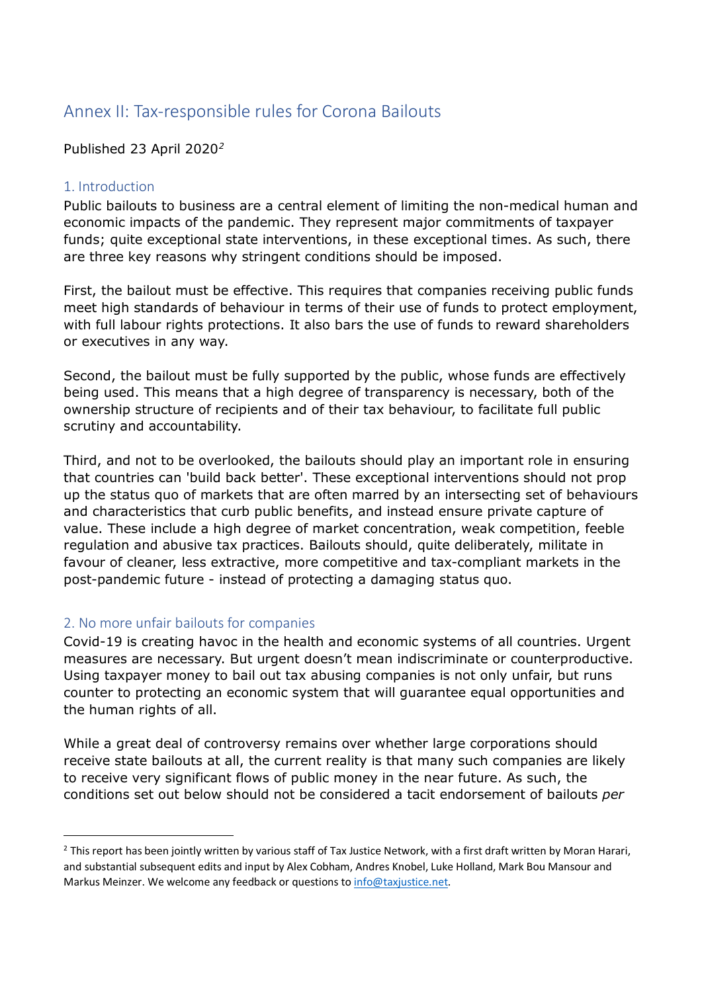## Annex II: Tax-responsible rules for Corona Bailouts

Published 23 April 2020*[2](#page-9-0)*

### 1. Introduction

Public bailouts to business are a central element of limiting the non-medical human and economic impacts of the pandemic. They represent major commitments of taxpayer funds; quite exceptional state interventions, in these exceptional times. As such, there are three key reasons why stringent conditions should be imposed.

First, the bailout must be effective. This requires that companies receiving public funds meet high standards of behaviour in terms of their use of funds to protect employment, with full labour rights protections. It also bars the use of funds to reward shareholders or executives in any way.

Second, the bailout must be fully supported by the public, whose funds are effectively being used. This means that a high degree of transparency is necessary, both of the ownership structure of recipients and of their tax behaviour, to facilitate full public scrutiny and accountability.

Third, and not to be overlooked, the bailouts should play an important role in ensuring that countries can 'build back better'. These exceptional interventions should not prop up the status quo of markets that are often marred by an intersecting set of behaviours and characteristics that curb public benefits, and instead ensure private capture of value. These include a high degree of market concentration, weak competition, feeble regulation and abusive tax practices. Bailouts should, quite deliberately, militate in favour of cleaner, less extractive, more competitive and tax-compliant markets in the post-pandemic future - instead of protecting a damaging status quo.

### 2. No more unfair bailouts for companies

-

Covid-19 is creating havoc in the health and economic systems of all countries. Urgent measures are necessary. But urgent doesn't mean indiscriminate or counterproductive. Using taxpayer money to bail out tax abusing companies is not only unfair, but runs counter to protecting an economic system that will guarantee equal opportunities and the human rights of all.

While a great deal of controversy remains over whether large corporations should receive state bailouts at all, the current reality is that many such companies are likely to receive very significant flows of public money in the near future. As such, the conditions set out below should not be considered a tacit endorsement of bailouts *per* 

<span id="page-9-0"></span><sup>&</sup>lt;sup>2</sup> This report has been jointly written by various staff of Tax Justice Network, with a first draft written by Moran Harari, and substantial subsequent edits and input by Alex Cobham, Andres Knobel, Luke Holland, Mark Bou Mansour and Markus Meinzer. We welcome any feedback or questions t[o info@taxjustice.net.](mailto:info@taxjustice.net)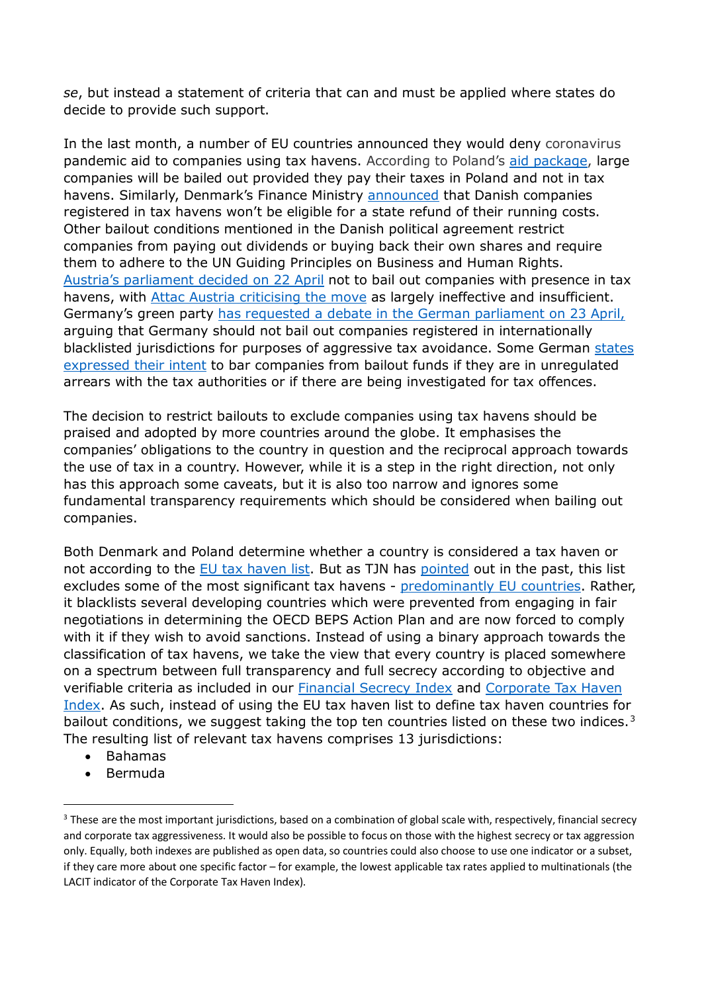*se*, but instead a statement of criteria that can and must be applied where states do decide to provide such support.

In the last month, a number of EU countries announced they would deny coronavirus pandemic aid to companies using tax havens. According to Poland's [aid package,](https://www.pb.pl/rzad-i-nbp-oglosza-plan-pomocy-firmom-relacja-987800) large companies will be bailed out provided they pay their taxes in Poland and not in tax havens. Similarly, Denmark's Finance Ministry [announced](https://www.law360.com/tax-authority/international/articles/1265237/denmark-denying-pandemic-aid-to-cos-using-tax-havens?nl_pk=08ae7ae9-d7a3-4cdc-aa65-88d11f5e89ca&utm_source=newsletter&utm_medium=email&utm_campaign=tax-authority/international) that Danish companies registered in tax havens won't be eligible for a state refund of their running costs. Other bailout conditions mentioned in the Danish political agreement restrict companies from paying out dividends or buying back their own shares and require them to adhere to the UN Guiding Principles on Business and Human Rights. [Austria's parliament decided on 22 April](https://www.ots.at/presseaussendung/OTS_20200422_OTS0196/gruenetomaselli-keine-staatshilfen-fuer-steueroasen) not to bail out companies with presence in tax havens, with [Attac Austria criticising the move](https://www.attac.at/news/details/neues-verbot-von-corona-staatshilfen-fuer-konzerne-in-steuersuempfen-praktisch-wirkungslos) as largely ineffective and insufficient. Germany's green party [has requested a debate in the German parliament on 23 April,](https://dip21.bundestag.de/dip21/btd/19/187/1918703.pdf) arguing that Germany should not bail out companies registered in internationally blacklisted jurisdictions for purposes of aggressive tax avoidance. Some German [states](https://www.sueddeutsche.de/wirtschaft/corona-hilfe-konzerne-steuern-1.4884892)  [expressed their intent](https://www.sueddeutsche.de/wirtschaft/corona-hilfe-konzerne-steuern-1.4884892) to bar companies from bailout funds if they are in unregulated arrears with the tax authorities or if there are being investigated for tax offences.

The decision to restrict bailouts to exclude companies using tax havens should be praised and adopted by more countries around the globe. It emphasises the companies' obligations to the country in question and the reciprocal approach towards the use of tax in a country. However, while it is a step in the right direction, not only has this approach some caveats, but it is also too narrow and ignores some fundamental transparency requirements which should be considered when bailing out companies.

Both Denmark and Poland determine whether a country is considered a tax haven or not according to the [EU tax haven list.](https://www.consilium.europa.eu/en/policies/eu-list-of-non-cooperative-jurisdictions/) But as TJN has [pointed](https://www.taxjustice.net/2017/11/27/blacklisting-the-eu-paradise-lost/) out in the past, this list excludes some of the most significant tax havens - [predominantly EU countries.](https://www.taxjustice.net/2020/02/18/eu-blacklists-uks-crown-jewel-tax-haven-while-letting-other-tax-havens-off-the-hook/) Rather, it blacklists several developing countries which were prevented from engaging in fair negotiations in determining the OECD BEPS Action Plan and are now forced to comply with it if they wish to avoid sanctions. Instead of using a binary approach towards the classification of tax havens, we take the view that every country is placed somewhere on a spectrum between full transparency and full secrecy according to objective and verifiable criteria as included in our **Financial Secrecy Index and Corporate Tax Haven** [Index.](https://www.corporatetaxhavenindex.org/introduction/cthi-2019-results) As such, instead of using the EU tax haven list to define tax haven countries for bailout conditions, we suggest taking the top ten countries listed on these two indices.<sup>[3](#page-10-0)</sup> The resulting list of relevant tax havens comprises 13 jurisdictions:

- Bahamas
- Bermuda

-

<span id="page-10-0"></span><sup>&</sup>lt;sup>3</sup> These are the most important jurisdictions, based on a combination of global scale with, respectively, financial secrecy and corporate tax aggressiveness. It would also be possible to focus on those with the highest secrecy or tax aggression only. Equally, both indexes are published as open data, so countries could also choose to use one indicator or a subset, if they care more about one specific factor – for example, the lowest applicable tax rates applied to multinationals (the LACIT indicator of the Corporate Tax Haven Index).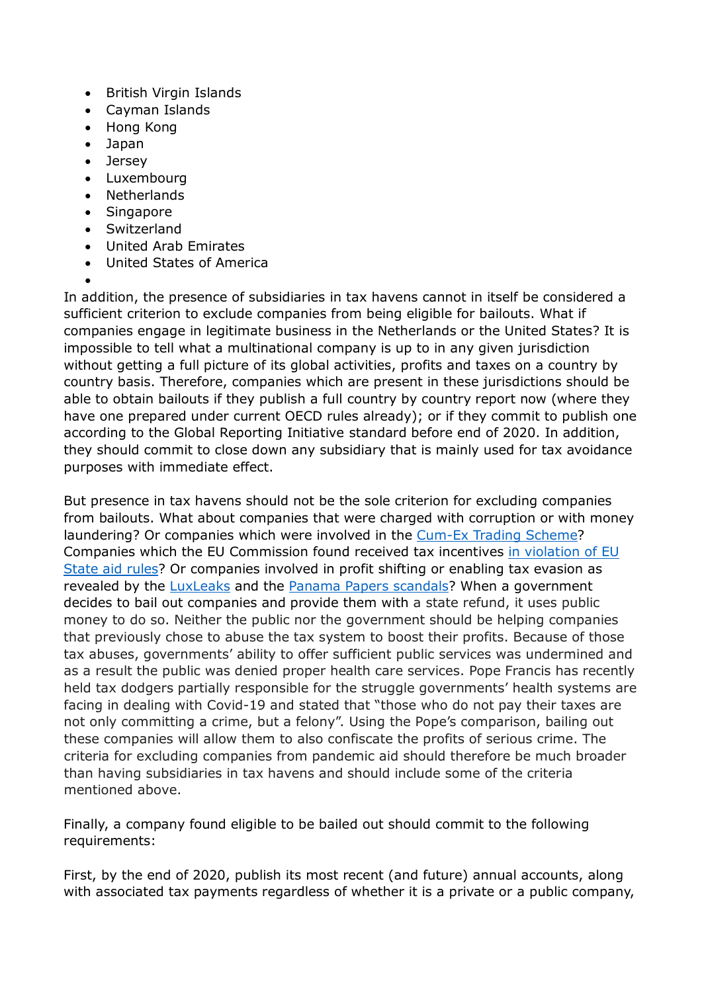- British Virgin Islands
- Cayman Islands
- Hong Kong
- Japan
- Jersey
- Luxembourg
- Netherlands
- Singapore
- Switzerland
- United Arab Emirates
- United States of America
- •

In addition, the presence of subsidiaries in tax havens cannot in itself be considered a sufficient criterion to exclude companies from being eligible for bailouts. What if companies engage in legitimate business in the Netherlands or the United States? It is impossible to tell what a multinational company is up to in any given jurisdiction without getting a full picture of its global activities, profits and taxes on a country by country basis. Therefore, companies which are present in these jurisdictions should be able to obtain bailouts if they publish a full country by country report now (where they have one prepared under current OECD rules already); or if they commit to publish one according to the Global Reporting Initiative standard before end of 2020. In addition, they should commit to close down any subsidiary that is mainly used for tax avoidance purposes with immediate effect.

But presence in tax havens should not be the sole criterion for excluding companies from bailouts. What about companies that were charged with corruption or with money laundering? Or companies which were involved in the [Cum-Ex Trading Scheme?](https://theconversation.com/the-robbery-of-the-century-the-cum-ex-trading-scandal-and-why-it-matters-124417) Companies which the EU Commission found received tax incentives [in violation of EU](https://ec.europa.eu/competition/state_aid/tax_rulings/index_en.html)  [State aid rules?](https://ec.europa.eu/competition/state_aid/tax_rulings/index_en.html) Or companies involved in profit shifting or enabling tax evasion as revealed by the [LuxLeaks](https://www.icij.org/investigations/luxembourg-leaks/) and the [Panama Papers scandals](https://www.icij.org/investigations/panama-papers/)? When a government decides to bail out companies and provide them with a state refund, it uses public money to do so. Neither the public nor the government should be helping companies that previously chose to abuse the tax system to boost their profits. Because of those tax abuses, governments' ability to offer sufficient public services was undermined and as a result the public was denied proper health care services. Pope Francis has recently held tax dodgers partially responsible for the struggle governments' health systems are facing in dealing with Covid-19 and stated that "those who do not pay their taxes are not only committing a crime, but a felony". Using the Pope's comparison, bailing out these companies will allow them to also confiscate the profits of serious crime. The criteria for excluding companies from pandemic aid should therefore be much broader than having subsidiaries in tax havens and should include some of the criteria mentioned above.

Finally, a company found eligible to be bailed out should commit to the following requirements:

First, by the end of 2020, publish its most recent (and future) annual accounts, along with associated tax payments regardless of whether it is a private or a public company,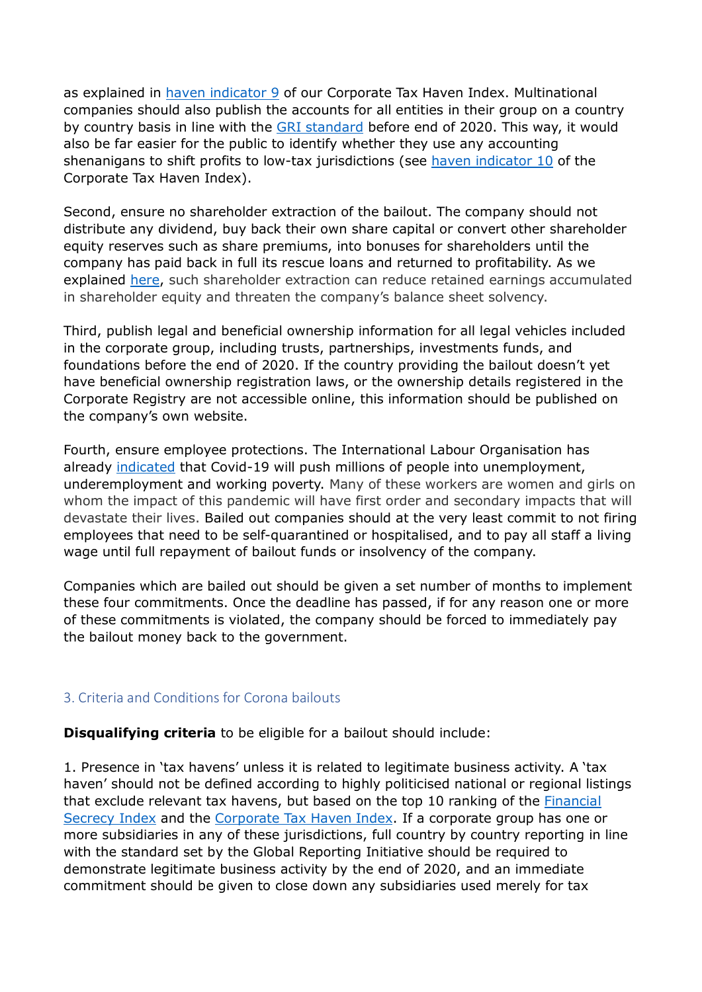as explained in [haven indicator 9](https://corporatetaxhavenindex.org/PDF/9-Public-Company-Accounts.pdf) of our Corporate Tax Haven Index. Multinational companies should also publish the accounts for all entities in their group on a country by country basis in line with the [GRI standard](https://www.taxjustice.net/2019/12/05/businesses-campaigners-back-global-tax-standard-to-tackle-500bn-corporate-tax-abuse-epidemic/) before end of 2020. This way, it would also be far easier for the public to identify whether they use any accounting shenanigans to shift profits to low-tax jurisdictions (see [haven indicator 10](https://corporatetaxhavenindex.org/PDF/10-CBC-Reporting.pdf) of the Corporate Tax Haven Index).

Second, ensure no shareholder extraction of the bailout. The company should not distribute any dividend, buy back their own share capital or convert other shareholder equity reserves such as share premiums, into bonuses for shareholders until the company has paid back in full its rescue loans and returned to profitability. As we explained [here,](https://www.taxjustice.net/2020/03/30/corporate-financial-resilience-in-times-of-covid-19-a-perfect-storm/) such shareholder extraction can reduce retained earnings accumulated in shareholder equity and threaten the company's balance sheet solvency.

Third, publish legal and beneficial ownership information for all legal vehicles included in the corporate group, including trusts, partnerships, investments funds, and foundations before the end of 2020. If the country providing the bailout doesn't yet have beneficial ownership registration laws, or the ownership details registered in the Corporate Registry are not accessible online, this information should be published on the company's own website.

Fourth, ensure employee protections. The International Labour Organisation has already [indicated](https://www.ilo.org/global/about-the-ilo/newsroom/news/WCMS_738742/lang--en/index.htm) that Covid-19 will push millions of people into unemployment, underemployment and working poverty. Many of these workers are women and girls on whom the impact of this pandemic will have first order and secondary impacts that will devastate their lives. Bailed out companies should at the very least commit to not firing employees that need to be self-quarantined or hospitalised, and to pay all staff a living wage until full repayment of bailout funds or insolvency of the company.

Companies which are bailed out should be given a set number of months to implement these four commitments. Once the deadline has passed, if for any reason one or more of these commitments is violated, the company should be forced to immediately pay the bailout money back to the government.

### 3. Criteria and Conditions for Corona bailouts

**Disqualifying criteria** to be eligible for a bailout should include:

1. Presence in 'tax havens' unless it is related to legitimate business activity. A 'tax haven' should not be defined according to highly politicised national or regional listings that exclude relevant tax havens, but based on the top 10 ranking of the [Financial](https://fsi.taxjustice.net/en/introduction/fsi-results)  [Secrecy Index](https://fsi.taxjustice.net/en/introduction/fsi-results) and the [Corporate Tax Haven Index.](https://www.corporatetaxhavenindex.org/introduction/cthi-2019-results) If a corporate group has one or more subsidiaries in any of these jurisdictions, full country by country reporting in line with the standard set by the Global Reporting Initiative should be required to demonstrate legitimate business activity by the end of 2020, and an immediate commitment should be given to close down any subsidiaries used merely for tax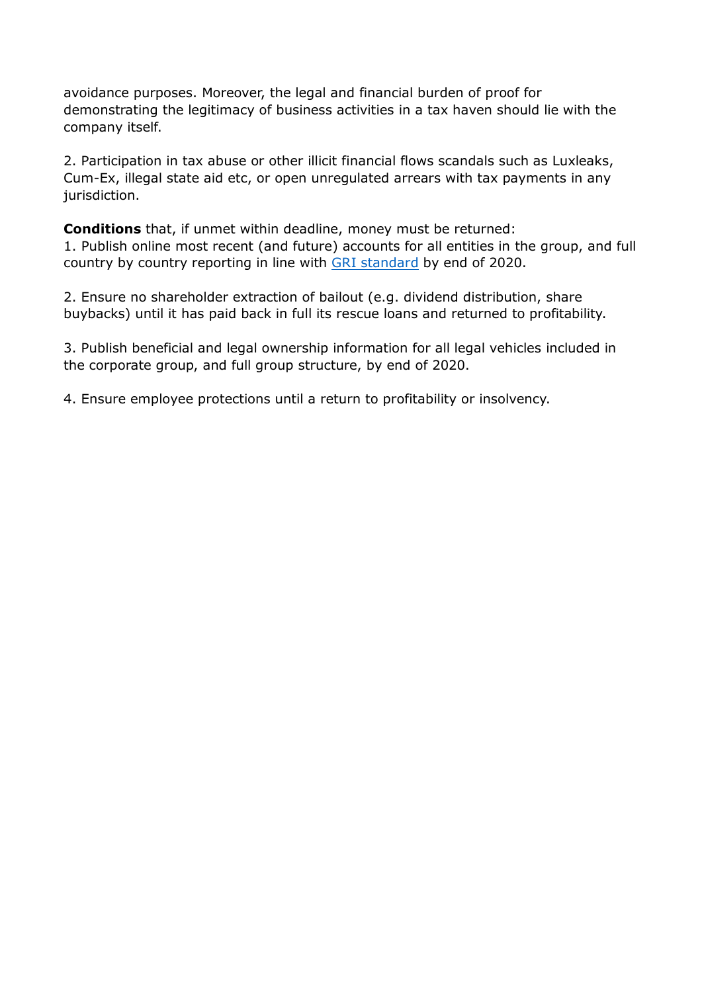avoidance purposes. Moreover, the legal and financial burden of proof for demonstrating the legitimacy of business activities in a tax haven should lie with the company itself.

2. Participation in tax abuse or other illicit financial flows scandals such as Luxleaks, Cum-Ex, illegal state aid etc, or open unregulated arrears with tax payments in any jurisdiction.

**Conditions** that, if unmet within deadline, money must be returned: 1. Publish online most recent (and future) accounts for all entities in the group, and full country by country reporting in line with [GRI standard](https://www.taxjustice.net/2019/12/05/businesses-campaigners-back-global-tax-standard-to-tackle-500bn-corporate-tax-abuse-epidemic/) by end of 2020.

2. Ensure no shareholder extraction of bailout (e.g. dividend distribution, share buybacks) until it has paid back in full its rescue loans and returned to profitability.

3. Publish beneficial and legal ownership information for all legal vehicles included in the corporate group, and full group structure, by end of 2020.

4. Ensure employee protections until a return to profitability or insolvency.